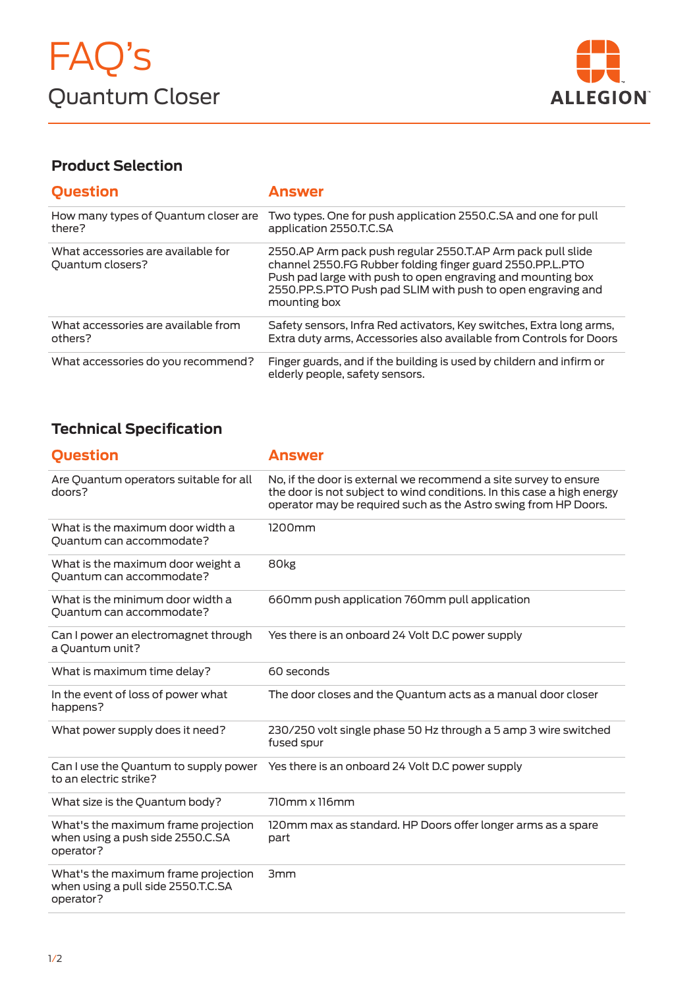

## **Product Selection**

| <b>Question</b>                                        | Answer                                                                                                                                                                                                                                                                 |
|--------------------------------------------------------|------------------------------------------------------------------------------------------------------------------------------------------------------------------------------------------------------------------------------------------------------------------------|
| How many types of Quantum closer are<br>there?         | Two types. One for push application 2550.C.SA and one for pull<br>application 2550.T.C.SA                                                                                                                                                                              |
| What accessories are available for<br>Quantum closers? | 2550.AP Arm pack push regular 2550.T.AP Arm pack pull slide<br>channel 2550.FG Rubber folding finger guard 2550.PP.L.PTO<br>Push pad large with push to open engraving and mounting box<br>2550.PP.S.PTO Push pad SLIM with push to open engraving and<br>mounting box |
| What accessories are available from<br>others?         | Safety sensors, Infra Red activators, Key switches, Extra long arms,<br>Extra duty arms, Accessories also available from Controls for Doors                                                                                                                            |
| What accessories do you recommend?                     | Finger guards, and if the building is used by childern and infirm or<br>elderly people, safety sensors.                                                                                                                                                                |

## **Technical Specification**

| <b>Ouestion</b>                                                                        | <b>Answer</b>                                                                                                                                                                                                 |
|----------------------------------------------------------------------------------------|---------------------------------------------------------------------------------------------------------------------------------------------------------------------------------------------------------------|
| Are Quantum operators suitable for all<br>doors?                                       | No, if the door is external we recommend a site survey to ensure<br>the door is not subject to wind conditions. In this case a high energy<br>operator may be required such as the Astro swing from HP Doors. |
| What is the maximum door width a<br>Quantum can accommodate?                           | 1200mm                                                                                                                                                                                                        |
| What is the maximum door weight a<br>Quantum can accommodate?                          | 80 <sub>kg</sub>                                                                                                                                                                                              |
| What is the minimum door width a<br>Quantum can accommodate?                           | 660mm push application 760mm pull application                                                                                                                                                                 |
| Can I power an electromagnet through<br>a Quantum unit?                                | Yes there is an onboard 24 Volt D.C power supply                                                                                                                                                              |
| What is maximum time delay?                                                            | 60 seconds                                                                                                                                                                                                    |
| In the event of loss of power what<br>happens?                                         | The door closes and the Quantum acts as a manual door closer                                                                                                                                                  |
| What power supply does it need?                                                        | 230/250 volt single phase 50 Hz through a 5 amp 3 wire switched<br>fused spur                                                                                                                                 |
| to an electric strike?                                                                 | Can I use the Quantum to supply power Yes there is an onboard 24 Volt D.C power supply                                                                                                                        |
| What size is the Quantum body?                                                         | $710$ mm x $116$ mm                                                                                                                                                                                           |
| What's the maximum frame projection<br>when using a push side 2550.C.SA<br>operator?   | 120mm max as standard. HP Doors offer longer arms as a spare<br>part                                                                                                                                          |
| What's the maximum frame projection<br>when using a pull side 2550.T.C.SA<br>operator? | 3mm                                                                                                                                                                                                           |